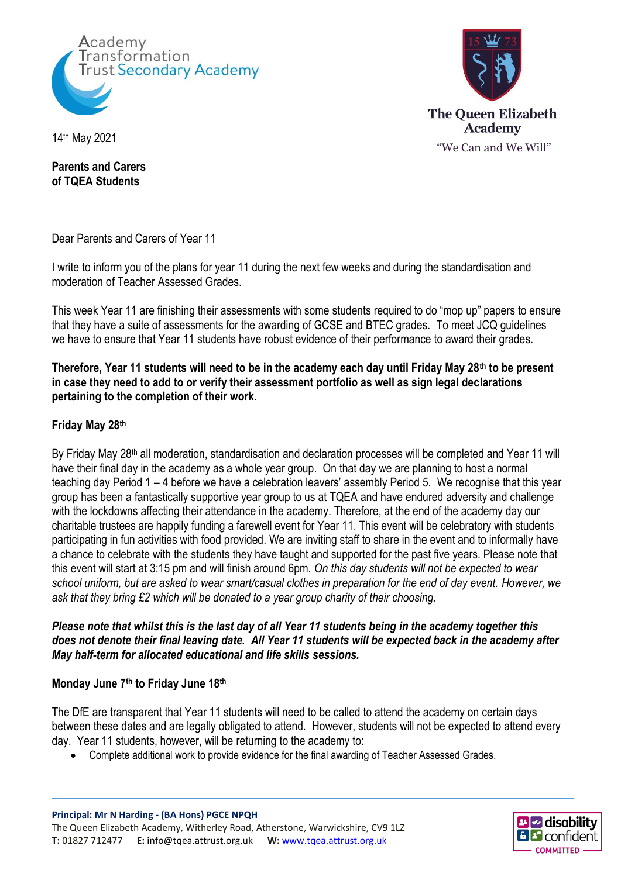



14th May 2021

**Parents and Carers of TQEA Students**

Dear Parents and Carers of Year 11

I write to inform you of the plans for year 11 during the next few weeks and during the standardisation and moderation of Teacher Assessed Grades.

This week Year 11 are finishing their assessments with some students required to do "mop up" papers to ensure that they have a suite of assessments for the awarding of GCSE and BTEC grades. To meet JCQ guidelines we have to ensure that Year 11 students have robust evidence of their performance to award their grades.

**Therefore, Year 11 students will need to be in the academy each day until Friday May 28th to be present in case they need to add to or verify their assessment portfolio as well as sign legal declarations pertaining to the completion of their work.**

## **Friday May 28th**

By Friday May 28<sup>th</sup> all moderation, standardisation and declaration processes will be completed and Year 11 will have their final day in the academy as a whole year group. On that day we are planning to host a normal teaching day Period 1 – 4 before we have a celebration leavers' assembly Period 5. We recognise that this year group has been a fantastically supportive year group to us at TQEA and have endured adversity and challenge with the lockdowns affecting their attendance in the academy. Therefore, at the end of the academy day our charitable trustees are happily funding a farewell event for Year 11. This event will be celebratory with students participating in fun activities with food provided. We are inviting staff to share in the event and to informally have a chance to celebrate with the students they have taught and supported for the past five years. Please note that this event will start at 3:15 pm and will finish around 6pm. *On this day students will not be expected to wear school uniform, but are asked to wear smart/casual clothes in preparation for the end of day event. However, we ask that they bring £2 which will be donated to a year group charity of their choosing.*

*Please note that whilst this is the last day of all Year 11 students being in the academy together this does not denote their final leaving date. All Year 11 students will be expected back in the academy after May half-term for allocated educational and life skills sessions.*

## **Monday June 7th to Friday June 18th**

The DfE are transparent that Year 11 students will need to be called to attend the academy on certain days between these dates and are legally obligated to attend. However, students will not be expected to attend every day. Year 11 students, however, will be returning to the academy to:

Complete additional work to provide evidence for the final awarding of Teacher Assessed Grades.